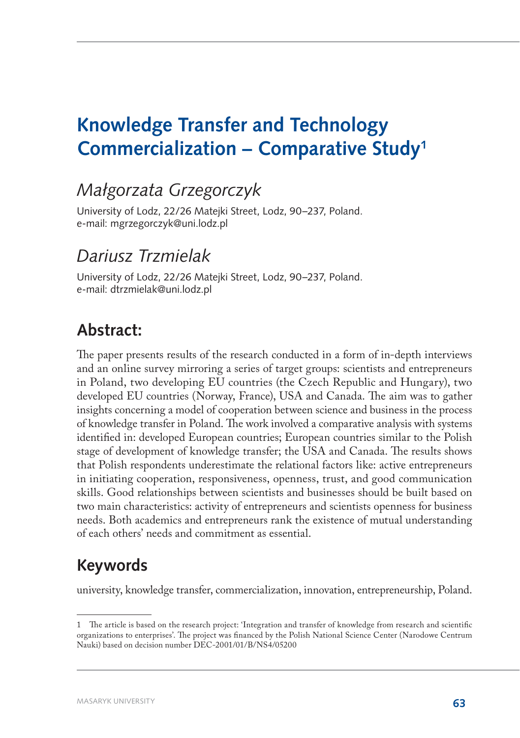# **Knowledge Transfer and Technology Commercialization – Comparative Study1**

### *Małgorzata Grzegorczyk*

University of Lodz, 22/26 Matejki Street, Lodz, 90–237, Poland. e-mail: [mgrzegorczyk@uni.lodz.pl](mailto:mgrzegorczyk@uni.lodz.pl)

### *Dariusz Trzmielak*

University of Lodz, 22/26 Matejki Street, Lodz, 90–237, Poland. e-mail: [dtrzmielak@uni.lodz.pl](mailto:dtrzmielak@uni.lodz.pl)

#### **Abstract:**

The paper presents results of the research conducted in a form of in-depth interviews and an online survey mirroring a series of target groups: scientists and entrepreneurs in Poland, two developing EU countries (the Czech Republic and Hungary), two developed EU countries (Norway, France), USA and Canada. The aim was to gather insights concerning a model of cooperation between science and business in the process of knowledge transfer in Poland. The work involved a comparative analysis with systems identified in: developed European countries; European countries similar to the Polish stage of development of knowledge transfer; the USA and Canada. The results shows that Polish respondents underestimate the relational factors like: active entrepreneurs in initiating cooperation, responsiveness, openness, trust, and good communication skills. Good relationships between scientists and businesses should be built based on two main characteristics: activity of entrepreneurs and scientists openness for business needs. Both academics and entrepreneurs rank the existence of mutual understanding of each others' needs and commitment as essential.

### **Keywords**

university, knowledge transfer, commercialization, innovation, entrepreneurship, Poland.

<sup>1</sup> The article is based on the research project: 'Integration and transfer of knowledge from research and scientific organizations to enterprises'. The project was financed by the Polish National Science Center (Narodowe Centrum Nauki) based on decision number DEC-2001/01/B/NS4/05200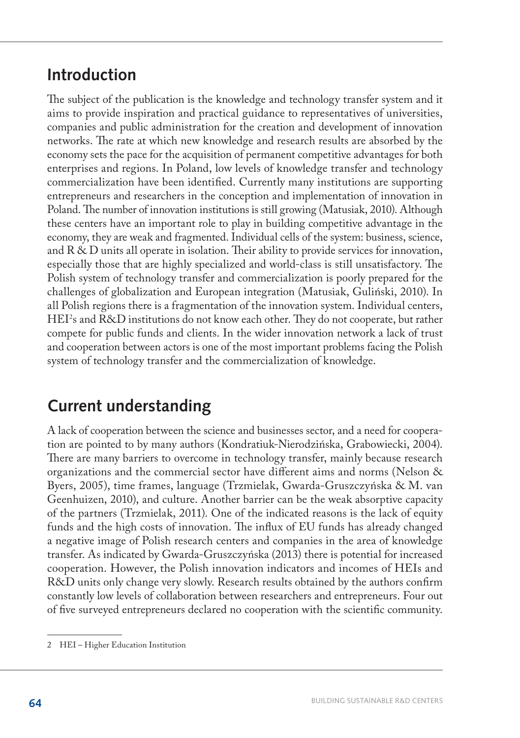### **Introduction**

The subject of the publication is the knowledge and technology transfer system and it aims to provide inspiration and practical guidance to representatives of universities, companies and public administration for the creation and development of innovation networks. The rate at which new knowledge and research results are absorbed by the economy sets the pace for the acquisition of permanent competitive advantages for both enterprises and regions. In Poland, low levels of knowledge transfer and technology commercialization have been identified. Currently many institutions are supporting entrepreneurs and researchers in the conception and implementation of innovation in Poland. The number of innovation institutions is still growing (Matusiak, 2010). Although these centers have an important role to play in building competitive advantage in the economy, they are weak and fragmented. Individual cells of the system: business, science, and R & D units all operate in isolation. Their ability to provide services for innovation, especially those that are highly specialized and world-class is still unsatisfactory. The Polish system of technology transfer and commercialization is poorly prepared for the challenges of globalization and European integration (Matusiak, Guliński, 2010). In all Polish regions there is a fragmentation of the innovation system. Individual centers, HEI<sup>2</sup> s and R&D institutions do not know each other. They do not cooperate, but rather compete for public funds and clients. In the wider innovation network a lack of trust and cooperation between actors is one of the most important problems facing the Polish system of technology transfer and the commercialization of knowledge.

### **Current understanding**

A lack of cooperation between the science and businesses sector, and a need for cooperation are pointed to by many authors (Kondratiuk-Nierodzińska, Grabowiecki, 2004). There are many barriers to overcome in technology transfer, mainly because research organizations and the commercial sector have different aims and norms (Nelson & Byers, 2005), time frames, language (Trzmielak, Gwarda-Gruszczyńska & M. van Geenhuizen, 2010), and culture. Another barrier can be the weak absorptive capacity of the partners (Trzmielak, 2011). One of the indicated reasons is the lack of equity funds and the high costs of innovation. The influx of EU funds has already changed a negative image of Polish research centers and companies in the area of knowledge transfer. As indicated by Gwarda-Gruszczyńska (2013) there is potential for increased cooperation. However, the Polish innovation indicators and incomes of HEIs and R&D units only change very slowly. Research results obtained by the authors confirm constantly low levels of collaboration between researchers and entrepreneurs. Four out of five surveyed entrepreneurs declared no cooperation with the scientific community.

<sup>2</sup> HEI – Higher Education Institution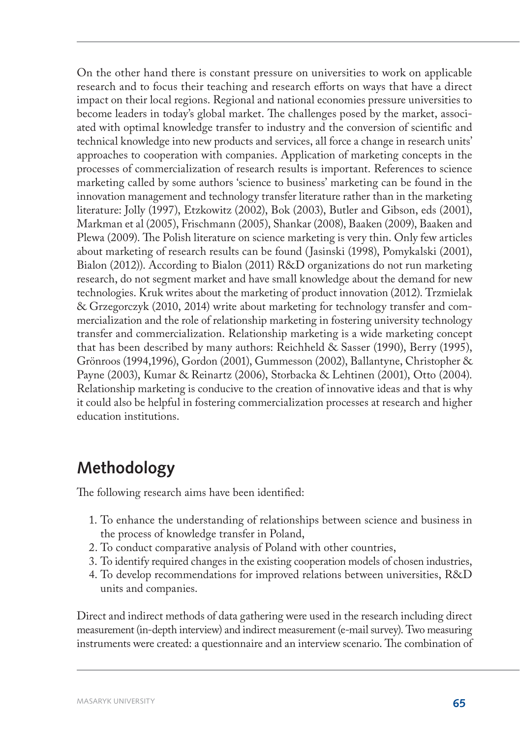On the other hand there is constant pressure on universities to work on applicable research and to focus their teaching and research efforts on ways that have a direct impact on their local regions. Regional and national economies pressure universities to become leaders in today's global market. The challenges posed by the market, associated with optimal knowledge transfer to industry and the conversion of scientific and technical knowledge into new products and services, all force a change in research units' approaches to cooperation with companies. Application of marketing concepts in the processes of commercialization of research results is important. References to science marketing called by some authors 'science to business' marketing can be found in the innovation management and technology transfer literature rather than in the marketing literature: Jolly (1997), Etzkowitz (2002), Bok (2003), Butler and Gibson, eds (2001), Markman et al (2005), Frischmann (2005), Shankar (2008), Baaken (2009), Baaken and Plewa (2009). The Polish literature on science marketing is very thin. Only few articles about marketing of research results can be found (Jasinski (1998), Pomykalski (2001), Bialon (2012)). According to Bialon (2011) R&D organizations do not run marketing research, do not segment market and have small knowledge about the demand for new technologies. Kruk writes about the marketing of product innovation (2012). Trzmielak & Grzegorczyk (2010, 2014) write about marketing for technology transfer and commercialization and the role of relationship marketing in fostering university technology transfer and commercialization. Relationship marketing is a wide marketing concept that has been described by many authors: Reichheld & Sasser (1990), Berry (1995), Grönroos (1994,1996), Gordon (2001), Gummesson (2002), Ballantyne, Christopher & Payne (2003), Kumar & Reinartz (2006), Storbacka & Lehtinen (2001), Otto (2004). Relationship marketing is conducive to the creation of innovative ideas and that is why it could also be helpful in fostering commercialization processes at research and higher education institutions.

## **Methodology**

The following research aims have been identified:

- 1. To enhance the understanding of relationships between science and business in the process of knowledge transfer in Poland,
- 2. To conduct comparative analysis of Poland with other countries,
- 3. To identify required changes in the existing cooperation models of chosen industries,
- 4. To develop recommendations for improved relations between universities, R&D units and companies.

Direct and indirect methods of data gathering were used in the research including direct measurement (in-depth interview) and indirect measurement (e-mail survey). Two measuring instruments were created: a questionnaire and an interview scenario. The combination of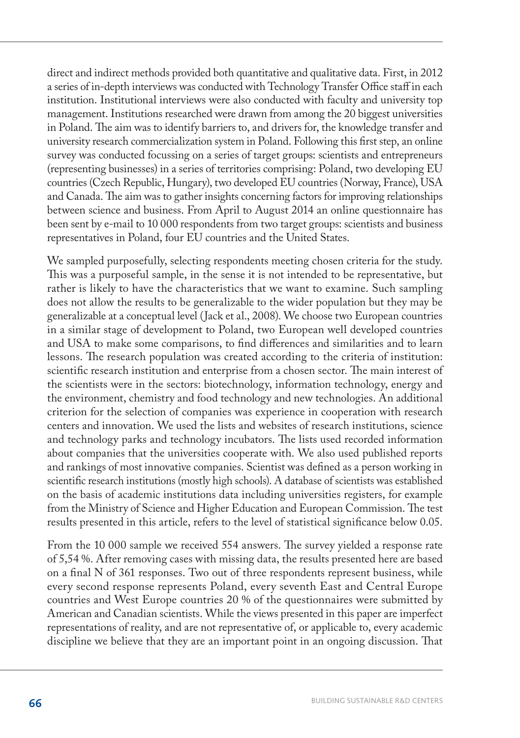direct and indirect methods provided both quantitative and qualitative data. First, in 2012 a series of in-depth interviews was conducted with Technology Transfer Office staff in each institution. Institutional interviews were also conducted with faculty and university top management. Institutions researched were drawn from among the 20 biggest universities in Poland. The aim was to identify barriers to, and drivers for, the knowledge transfer and university research commercialization system in Poland. Following this first step, an online survey was conducted focussing on a series of target groups: scientists and entrepreneurs (representing businesses) in a series of territories comprising: Poland, two developing EU countries (Czech Republic, Hungary), two developed EU countries (Norway, France), USA and Canada. The aim was to gather insights concerning factors for improving relationships between science and business. From April to August 2014 an online questionnaire has been sent by e-mail to 10 000 respondents from two target groups: scientists and business representatives in Poland, four EU countries and the United States.

We sampled purposefully, selecting respondents meeting chosen criteria for the study. This was a purposeful sample, in the sense it is not intended to be representative, but rather is likely to have the characteristics that we want to examine. Such sampling does not allow the results to be generalizable to the wider population but they may be generalizable at a conceptual level (Jack et al., 2008). We choose two European countries in a similar stage of development to Poland, two European well developed countries and USA to make some comparisons, to find differences and similarities and to learn lessons. The research population was created according to the criteria of institution: scientific research institution and enterprise from a chosen sector. The main interest of the scientists were in the sectors: biotechnology, information technology, energy and the environment, chemistry and food technology and new technologies. An additional criterion for the selection of companies was experience in cooperation with research centers and innovation. We used the lists and websites of research institutions, science and technology parks and technology incubators. The lists used recorded information about companies that the universities cooperate with. We also used published reports and rankings of most innovative companies. Scientist was defined as a person working in scientific research institutions (mostly high schools). A database of scientists was established on the basis of academic institutions data including universities registers, for example from the Ministry of Science and Higher Education and European Commission. The test results presented in this article, refers to the level of statistical significance below 0.05.

From the 10 000 sample we received 554 answers. The survey yielded a response rate of 5,54 %. After removing cases with missing data, the results presented here are based on a final N of 361 responses. Two out of three respondents represent business, while every second response represents Poland, every seventh East and Central Europe countries and West Europe countries 20 % of the questionnaires were submitted by American and Canadian scientists. While the views presented in this paper are imperfect representations of reality, and are not representative of, or applicable to, every academic discipline we believe that they are an important point in an ongoing discussion. That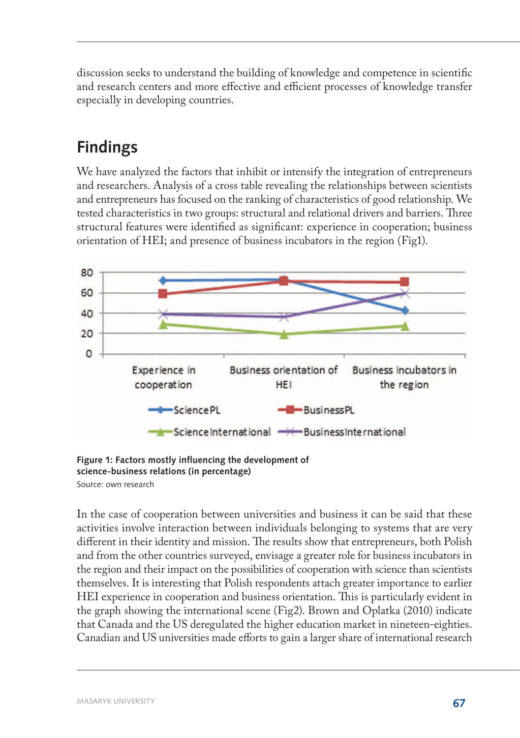discussion seeks to understand the building of knowledge and competence in scientific and research centers and more effective and efficient processes of knowledge transfer especially in developing countries.

# **Findings**

We have analyzed the factors that inhibit or intensify the integration of entrepreneurs and researchers. Analysis of a cross table revealing the relationships between scientists and entrepreneurs has focused on the ranking of characteristics of good relationship. We tested characteristics in two groups: structural and relational drivers and barriers. Three structural features were identified as significant: experience in cooperation; business orientation of HEI; and presence of business incubators in the region (Fig1).



**Figure 1: Factors mostly influencing the development of science-business relations (in percentage)** Source: own research

In the case of cooperation between universities and business it can be said that these activities involve interaction between individuals belonging to systems that are very different in their identity and mission. The results show that entrepreneurs, both Polish and from the other countries surveyed, envisage a greater role for business incubators in the region and their impact on the possibilities of cooperation with science than scientists themselves. It is interesting that Polish respondents attach greater importance to earlier HEI experience in cooperation and business orientation. This is particularly evident in the graph showing the international scene (Fig2). Brown and Oplatka (2010) indicate that Canada and the US deregulated the higher education market in nineteen-eighties. Canadian and US universities made efforts to gain a larger share of international research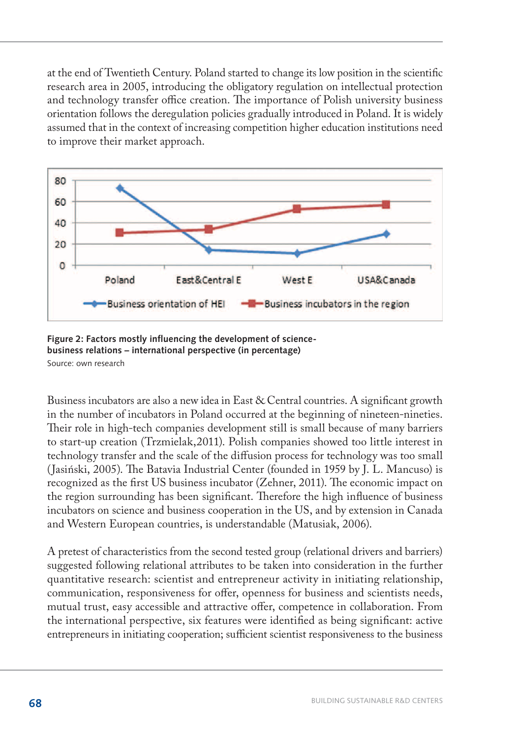at the end of Twentieth Century. Poland started to change its low position in the scientific research area in 2005, introducing the obligatory regulation on intellectual protection and technology transfer office creation. The importance of Polish university business orientation follows the deregulation policies gradually introduced in Poland. It is widely assumed that in the context of increasing competition higher education institutions need to improve their market approach.



**Figure 2: Factors mostly influencing the development of sciencebusiness relations – international perspective (in percentage)** Source: own research

Business incubators are also a new idea in East & Central countries. A significant growth in the number of incubators in Poland occurred at the beginning of nineteen-nineties. Their role in high-tech companies development still is small because of many barriers to start-up creation (Trzmielak,2011). Polish companies showed too little interest in technology transfer and the scale of the diffusion process for technology was too small (Jasiński, 2005). The Batavia Industrial Center (founded in 1959 by J. L. Mancuso) is recognized as the first US business incubator (Zehner, 2011). The economic impact on the region surrounding has been significant. Therefore the high influence of business incubators on science and business cooperation in the US, and by extension in Canada and Western European countries, is understandable (Matusiak, 2006).

A pretest of characteristics from the second tested group (relational drivers and barriers) suggested following relational attributes to be taken into consideration in the further quantitative research: scientist and entrepreneur activity in initiating relationship, communication, responsiveness for offer, openness for business and scientists needs, mutual trust, easy accessible and attractive offer, competence in collaboration. From the international perspective, six features were identified as being significant: active entrepreneurs in initiating cooperation; sufficient scientist responsiveness to the business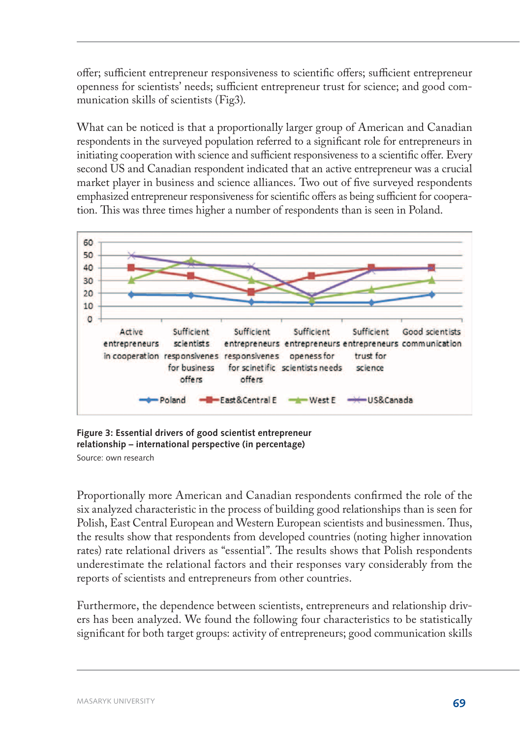offer; sufficient entrepreneur responsiveness to scientific offers; sufficient entrepreneur openness for scientists' needs; sufficient entrepreneur trust for science; and good communication skills of scientists (Fig3).

What can be noticed is that a proportionally larger group of American and Canadian respondents in the surveyed population referred to a significant role for entrepreneurs in initiating cooperation with science and sufficient responsiveness to a scientific offer. Every second US and Canadian respondent indicated that an active entrepreneur was a crucial market player in business and science alliances. Two out of five surveyed respondents emphasized entrepreneur responsiveness for scientific offers as being sufficient for cooperation. This was three times higher a number of respondents than is seen in Poland.



**Figure 3: Essential drivers of good scientist entrepreneur relationship – international perspective (in percentage)** Source: own research

Proportionally more American and Canadian respondents confirmed the role of the six analyzed characteristic in the process of building good relationships than is seen for Polish, East Central European and Western European scientists and businessmen. Thus, the results show that respondents from developed countries (noting higher innovation rates) rate relational drivers as "essential". The results shows that Polish respondents underestimate the relational factors and their responses vary considerably from the reports of scientists and entrepreneurs from other countries.

Furthermore, the dependence between scientists, entrepreneurs and relationship drivers has been analyzed. We found the following four characteristics to be statistically significant for both target groups: activity of entrepreneurs; good communication skills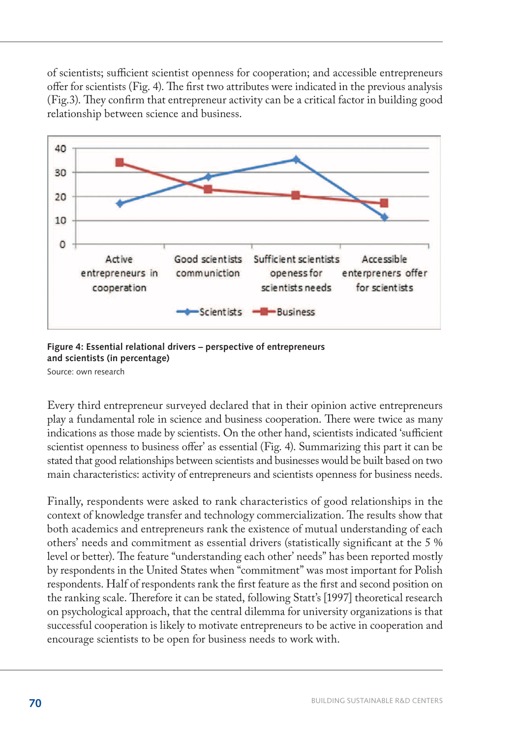of scientists; sufficient scientist openness for cooperation; and accessible entrepreneurs offer for scientists (Fig. 4). The first two attributes were indicated in the previous analysis (Fig.3). They confirm that entrepreneur activity can be a critical factor in building good relationship between science and business.



**Figure 4: Essential relational drivers – perspective of entrepreneurs and scientists (in percentage)**

Source: own research

Every third entrepreneur surveyed declared that in their opinion active entrepreneurs play a fundamental role in science and business cooperation. There were twice as many indications as those made by scientists. On the other hand, scientists indicated 'sufficient scientist openness to business offer' as essential (Fig. 4). Summarizing this part it can be stated that good relationships between scientists and businesses would be built based on two main characteristics: activity of entrepreneurs and scientists openness for business needs.

Finally, respondents were asked to rank characteristics of good relationships in the context of knowledge transfer and technology commercialization. The results show that both academics and entrepreneurs rank the existence of mutual understanding of each others' needs and commitment as essential drivers (statistically significant at the 5 % level or better). The feature "understanding each other' needs" has been reported mostly by respondents in the United States when "commitment" was most important for Polish respondents. Half of respondents rank the first feature as the first and second position on the ranking scale. Therefore it can be stated, following Statt's [1997] theoretical research on psychological approach, that the central dilemma for university organizations is that successful cooperation is likely to motivate entrepreneurs to be active in cooperation and encourage scientists to be open for business needs to work with.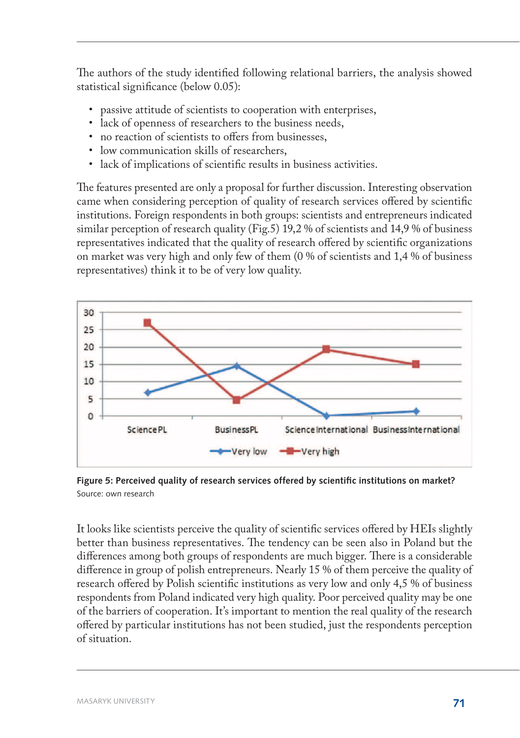The authors of the study identified following relational barriers, the analysis showed statistical significance (below 0.05):

- • passive attitude of scientists to cooperation with enterprises,
- lack of openness of researchers to the business needs,
- no reaction of scientists to offers from businesses,
- • low communication skills of researchers,
- lack of implications of scientific results in business activities.

The features presented are only a proposal for further discussion. Interesting observation came when considering perception of quality of research services offered by scientific institutions. Foreign respondents in both groups: scientists and entrepreneurs indicated similar perception of research quality (Fig.5) 19,2 % of scientists and 14,9 % of business representatives indicated that the quality of research offered by scientific organizations on market was very high and only few of them (0 % of scientists and 1,4 % of business representatives) think it to be of very low quality.



**Figure 5: Perceived quality of research services offered by scientific institutions on market?** Source: own research

It looks like scientists perceive the quality of scientific services offered by HEIs slightly better than business representatives. The tendency can be seen also in Poland but the differences among both groups of respondents are much bigger. There is a considerable difference in group of polish entrepreneurs. Nearly 15 % of them perceive the quality of research offered by Polish scientific institutions as very low and only 4,5 % of business respondents from Poland indicated very high quality. Poor perceived quality may be one of the barriers of cooperation. It's important to mention the real quality of the research offered by particular institutions has not been studied, just the respondents perception of situation.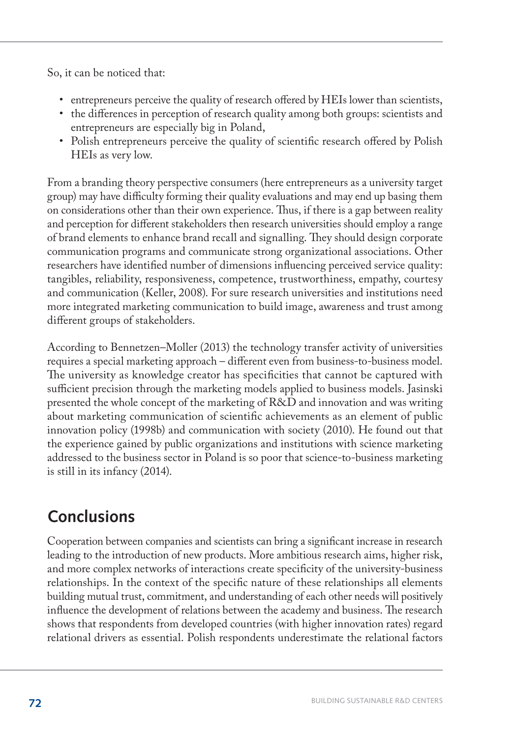So, it can be noticed that:

- • entrepreneurs perceive the quality of research offered by HEIs lower than scientists,
- the differences in perception of research quality among both groups: scientists and entrepreneurs are especially big in Poland,
- Polish entrepreneurs perceive the quality of scientific research offered by Polish HEIs as very low.

From a branding theory perspective consumers (here entrepreneurs as a university target group) may have difficulty forming their quality evaluations and may end up basing them on considerations other than their own experience. Thus, if there is a gap between reality and perception for different stakeholders then research universities should employ a range of brand elements to enhance brand recall and signalling. They should design corporate communication programs and communicate strong organizational associations. Other researchers have identified number of dimensions influencing perceived service quality: tangibles, reliability, responsiveness, competence, trustworthiness, empathy, courtesy and communication (Keller, 2008). For sure research universities and institutions need more integrated marketing communication to build image, awareness and trust among different groups of stakeholders.

According to Bennetzen–Moller (2013) the technology transfer activity of universities requires a special marketing approach – different even from business-to-business model. The university as knowledge creator has specificities that cannot be captured with sufficient precision through the marketing models applied to business models. Jasinski presented the whole concept of the marketing of R&D and innovation and was writing about marketing communication of scientific achievements as an element of public innovation policy (1998b) and communication with society (2010). He found out that the experience gained by public organizations and institutions with science marketing addressed to the business sector in Poland is so poor that science-to-business marketing is still in its infancy (2014).

## **Conclusions**

Cooperation between companies and scientists can bring a significant increase in research leading to the introduction of new products. More ambitious research aims, higher risk, and more complex networks of interactions create specificity of the university-business relationships. In the context of the specific nature of these relationships all elements building mutual trust, commitment, and understanding of each other needs will positively influence the development of relations between the academy and business. The research shows that respondents from developed countries (with higher innovation rates) regard relational drivers as essential. Polish respondents underestimate the relational factors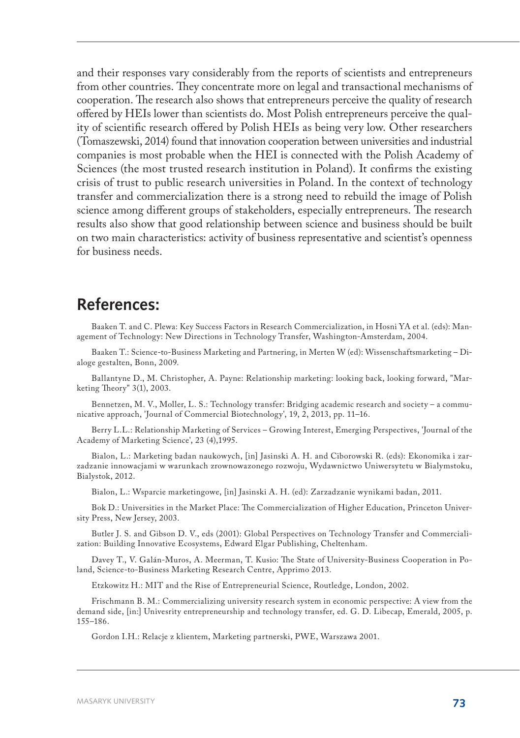and their responses vary considerably from the reports of scientists and entrepreneurs from other countries. They concentrate more on legal and transactional mechanisms of cooperation. The research also shows that entrepreneurs perceive the quality of research offered by HEIs lower than scientists do. Most Polish entrepreneurs perceive the quality of scientific research offered by Polish HEIs as being very low. Other researchers (Tomaszewski, 2014) found that innovation cooperation between universities and industrial companies is most probable when the HEI is connected with the Polish Academy of Sciences (the most trusted research institution in Poland). It confirms the existing crisis of trust to public research universities in Poland. In the context of technology transfer and commercialization there is a strong need to rebuild the image of Polish science among different groups of stakeholders, especially entrepreneurs. The research results also show that good relationship between science and business should be built on two main characteristics: activity of business representative and scientist's openness for business needs.

#### **References:**

Baaken T. and C. Plewa: Key Success Factors in Research Commercialization, in Hosni YA et al. (eds): Management of Technology: New Directions in Technology Transfer, Washington-Amsterdam, 2004.

Baaken T.: Science-to-Business Marketing and Partnering, in Merten W (ed): Wissenschaftsmarketing – Dialoge gestalten, Bonn, 2009.

Ballantyne D., M. Christopher, A. Payne: Relationship marketing: looking back, looking forward, "Marketing Theory" 3(1), 2003.

Bennetzen, M. V., Moller, L. S.: Technology transfer: Bridging academic research and society – a communicative approach, 'Journal of Commercial Biotechnology', 19, 2, 2013, pp. 11–16.

Berry L.L.: Relationship Marketing of Services – Growing Interest, Emerging Perspectives, 'Journal of the Academy of Marketing Science', 23 (4),1995.

Bialon, L.: Marketing badan naukowych, [in] Jasinski A. H. and Ciborowski R. (eds): Ekonomika i zarzadzanie innowacjami w warunkach zrownowazonego rozwoju, Wydawnictwo Uniwersytetu w Bialymstoku, Bialystok, 2012.

Bialon, L.: Wsparcie marketingowe, [in] Jasinski A. H. (ed): Zarzadzanie wynikami badan, 2011.

Bok D.: Universities in the Market Place: The Commercialization of Higher Education, Princeton University Press, New Jersey, 2003.

Butler J. S. and Gibson D. V., eds (2001): Global Perspectives on Technology Transfer and Commercialization: Building Innovative Ecosystems, Edward Elgar Publishing, Cheltenham.

Davey T., V. Galán-Muros, A. Meerman, T. Kusio: The State of University-Business Cooperation in Poland, Science-to-Business Marketing Research Centre, Apprimo 2013.

Etzkowitz H.: MIT and the Rise of Entrepreneurial Science, Routledge, London, 2002.

Frischmann B. M.: Commercializing university research system in economic perspective: A view from the demand side, [in:] Univesrity entrepreneurship and technology transfer, ed. G. D. Libecap, Emerald, 2005, p. 155–186.

Gordon I.H.: Relacje z klientem, Marketing partnerski, PWE, Warszawa 2001.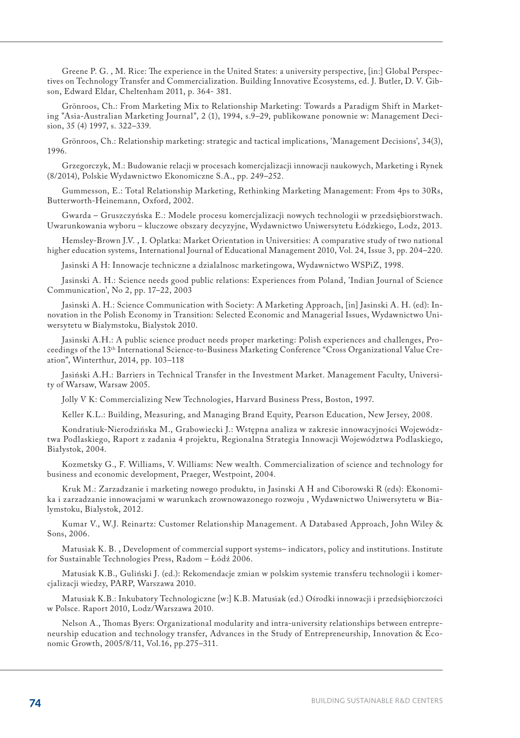Greene P. G. , M. Rice: The experience in the United States: a university perspective, [in:] Global Perspectives on Technology Transfer and Commercialization. Building Innovative Ecosystems, ed. J. Butler, D. V. Gibson, Edward Eldar, Cheltenham 2011, p. 364- 381.

Grönroos, Ch.: From Marketing Mix to Relationship Marketing: Towards a Paradigm Shift in Marketing "Asia-Australian Marketing Journal", 2 (1), 1994, s.9–29, publikowane ponownie w: Management Decision, 35 (4) 1997, s. 322–339.

Grönroos, Ch.: Relationship marketing: strategic and tactical implications, 'Management Decisions', 34(3), 1996.

Grzegorczyk, M.: Budowanie relacji w procesach komercjalizacji innowacji naukowych, Marketing i Rynek (8/2014), Polskie Wydawnictwo Ekonomiczne S.A., pp. 249–252.

Gummesson, E.: Total Relationship Marketing, Rethinking Marketing Management: From 4ps to 30Rs, Butterworth-Heinemann, Oxford, 2002.

Gwarda – Gruszczyńska E.: Modele procesu komercjalizacji nowych technologii w przedsiębiorstwach. Uwarunkowania wyboru – kluczowe obszary decyzyjne, Wydawnictwo Uniwersytetu Łódzkiego, Lodz, 2013.

Hemsley-Brown J.V. , I. Oplatka: Market Orientation in Universities: A comparative study of two national higher education systems, International Journal of Educational Management 2010, Vol. 24, Issue 3, pp. 204–220.

Jasinski A H: Innowacje techniczne a dzialalnosc marketingowa, Wydawnictwo WSPiZ, 1998.

Jasinski A. H.: Science needs good public relations: Experiences from Poland, 'Indian Journal of Science Communication', No 2, pp. 17–22, 2003

Jasinski A. H.: Science Communication with Society: A Marketing Approach, [in] Jasinski A. H. (ed): Innovation in the Polish Economy in Transition: Selected Economic and Managerial Issues, Wydawnictwo Uniwersytetu w Bialymstoku, Bialystok 2010.

Jasinski A.H.: A public science product needs proper marketing: Polish experiences and challenges, Proceedings of the 13th International Science-to-Business Marketing Conference "Cross Organizational Value Creation", Winterthur, 2014, pp. 103–118

Jasiński A.H.: Barriers in Technical Transfer in the Investment Market. Management Faculty, University of Warsaw, Warsaw 2005.

Jolly V K: Commercializing New Technologies, Harvard Business Press, Boston, 1997.

Keller K.L.: Building, Measuring, and Managing Brand Equity, Pearson Education, New Jersey, 2008.

Kondratiuk-Nierodzińska M., Grabowiecki J.: Wstępna analiza w zakresie innowacyjności Województwa Podlaskiego, Raport z zadania 4 projektu, Regionalna Strategia Innowacji Województwa Podlaskiego, Białystok, 2004.

Kozmetsky G., F. Williams, V. Williams: New wealth. Commercialization of science and technology for business and economic development, Praeger, Westpoint, 2004.

Kruk M.: Zarzadzanie i marketing nowego produktu, in Jasinski A H and Ciborowski R (eds): Ekonomika i zarzadzanie innowacjami w warunkach zrownowazonego rozwoju , Wydawnictwo Uniwersytetu w Bialymstoku, Bialystok, 2012.

Kumar V., W.J. Reinartz: Customer Relationship Management. A Databased Approach, John Wiley & Sons, 2006.

Matusiak K. B. , Development of commercial support systems– indicators, policy and institutions. Institute for Sustainable Technologies Press, Radom – Łódź 2006.

Matusiak K.B., Guliński J. (ed.): Rekomendacje zmian w polskim systemie transferu technologii i komercjalizacji wiedzy, PARP, Warszawa 2010.

Matusiak K.B.: Inkubatory Technologiczne [w:] K.B. Matusiak (ed.) Ośrodki innowacji i przedsiębiorczości w Polsce. Raport 2010, Lodz/Warszawa 2010.

Nelson A., Thomas Byers: Organizational modularity and intra-university relationships between entrepreneurship education and technology transfer, Advances in the Study of Entrepreneurship, Innovation & Economic Growth, 2005/8/11, Vol.16, pp.275–311.